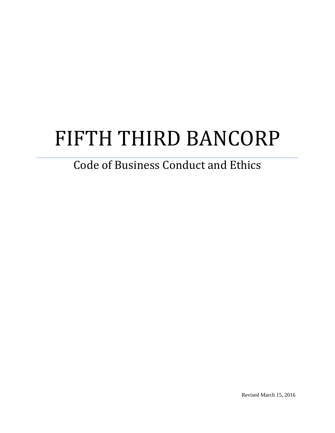# FIFTH THIRD BANCORP

# Code of Business Conduct and Ethics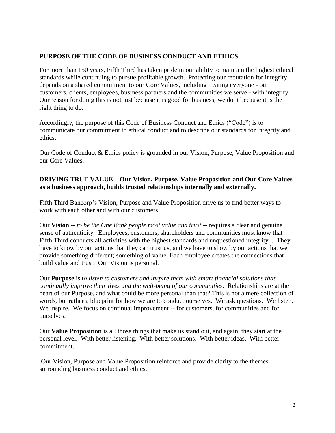#### **PURPOSE OF THE CODE OF BUSINESS CONDUCT AND ETHICS**

For more than 150 years, Fifth Third has taken pride in our ability to maintain the highest ethical standards while continuing to pursue profitable growth. Protecting our reputation for integrity depends on a shared commitment to our Core Values, including treating everyone - our customers, clients, employees, business partners and the communities we serve - with integrity. Our reason for doing this is not just because it is good for business; we do it because it is the right thing to do.

Accordingly, the purpose of this Code of Business Conduct and Ethics ("Code") is to communicate our commitment to ethical conduct and to describe our standards for integrity and ethics.

Our Code of Conduct & Ethics policy is grounded in our Vision, Purpose, Value Proposition and our Core Values.

#### **DRIVING TRUE VALUE – Our Vision, Purpose, Value Proposition and Our Core Values as a business approach, builds trusted relationships internally and externally.**

Fifth Third Bancorp's Vision, Purpose and Value Proposition drive us to find better ways to work with each other and with our customers.

Our **Vision --** *to be the One Bank people most value and trust* -- requires a clear and genuine sense of authenticity. Employees, customers, shareholders and communities must know that Fifth Third conducts all activities with the highest standards and unquestioned integrity. . They have to know by our actions that they can trust us, and we have to show by our actions that we provide something different; something of value. Each employee creates the connections that build value and trust. Our Vision is personal.

Our **Purpose** is t*o listen to customers and inspire them with smart financial solutions that continually improve their lives and the well-being of our communities.* Relationships are at the heart of our Purpose, and what could be more personal than that? This is not a mere collection of words, but rather a blueprint for how we are to conduct ourselves. We ask questions. We listen. We inspire. We focus on continual improvement -- for customers, for communities and for ourselves.

Our **Value Proposition** is all those things that make us stand out, and again, they start at the personal level. With better listening. With better solutions. With better ideas. With better commitment.

Our Vision, Purpose and Value Proposition reinforce and provide clarity to the themes surrounding business conduct and ethics.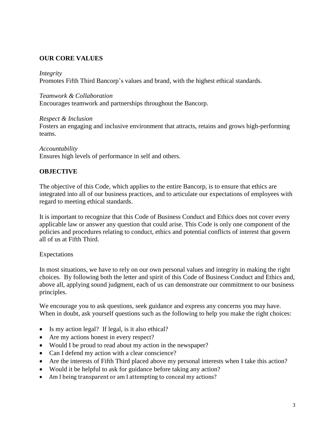# **OUR CORE VALUES**

#### *Integrity*

Promotes Fifth Third Bancorp's values and brand, with the highest ethical standards.

#### *Teamwork & Collaboration*

Encourages teamwork and partnerships throughout the Bancorp.

#### *Respect & Inclusion*

Fosters an engaging and inclusive environment that attracts, retains and grows high-performing teams.

#### *Accountability*

Ensures high levels of performance in self and others.

#### **OBJECTIVE**

The objective of this Code, which applies to the entire Bancorp, is to ensure that ethics are integrated into all of our business practices, and to articulate our expectations of employees with regard to meeting ethical standards.

It is important to recognize that this Code of Business Conduct and Ethics does not cover every applicable law or answer any question that could arise. This Code is only one component of the policies and procedures relating to conduct, ethics and potential conflicts of interest that govern all of us at Fifth Third.

#### Expectations

In most situations, we have to rely on our own personal values and integrity in making the right choices. By following both the letter and spirit of this Code of Business Conduct and Ethics and, above all, applying sound judgment, each of us can demonstrate our commitment to our business principles.

We encourage you to ask questions, seek guidance and express any concerns you may have. When in doubt, ask yourself questions such as the following to help you make the right choices:

- Is my action legal? If legal, is it also ethical?
- Are my actions honest in every respect?
- Would I be proud to read about my action in the newspaper?
- Can I defend my action with a clear conscience?
- Are the interests of Fifth Third placed above my personal interests when I take this action?
- Would it be helpful to ask for guidance before taking any action?
- Am I being transparent or am I attempting to conceal my actions?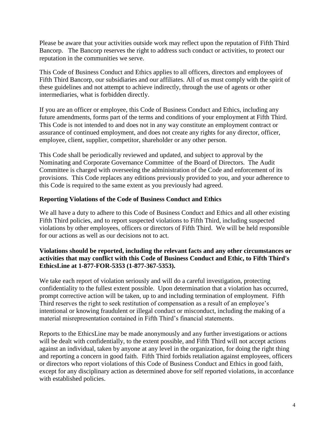Please be aware that your activities outside work may reflect upon the reputation of Fifth Third Bancorp. The Bancorp reserves the right to address such conduct or activities, to protect our reputation in the communities we serve.

This Code of Business Conduct and Ethics applies to all officers, directors and employees of Fifth Third Bancorp, our subsidiaries and our affiliates. All of us must comply with the spirit of these guidelines and not attempt to achieve indirectly, through the use of agents or other intermediaries, what is forbidden directly.

If you are an officer or employee, this Code of Business Conduct and Ethics, including any future amendments, forms part of the terms and conditions of your employment at Fifth Third. This Code is not intended to and does not in any way constitute an employment contract or assurance of continued employment, and does not create any rights for any director, officer, employee, client, supplier, competitor, shareholder or any other person.

This Code shall be periodically reviewed and updated, and subject to approval by the Nominating and Corporate Governance Committee of the Board of Directors. The Audit Committee is charged with overseeing the administration of the Code and enforcement of its provisions. This Code replaces any editions previously provided to you, and your adherence to this Code is required to the same extent as you previously had agreed.

#### **Reporting Violations of the Code of Business Conduct and Ethics**

We all have a duty to adhere to this Code of Business Conduct and Ethics and all other existing Fifth Third policies, and to report suspected violations to Fifth Third, including suspected violations by other employees, officers or directors of Fifth Third. We will be held responsible for our actions as well as our decisions not to act.

# **Violations should be reported, including the relevant facts and any other circumstances or activities that may conflict with this Code of Business Conduct and Ethic, to Fifth Third's EthicsLine at 1-877-FOR-5353 (1-877-367-5353).**

We take each report of violation seriously and will do a careful investigation, protecting confidentiality to the fullest extent possible. Upon determination that a violation has occurred, prompt corrective action will be taken, up to and including termination of employment. Fifth Third reserves the right to seek restitution of compensation as a result of an employee's intentional or knowing fraudulent or illegal conduct or misconduct, including the making of a material misrepresentation contained in Fifth Third's financial statements.

Reports to the EthicsLine may be made anonymously and any further investigations or actions will be dealt with confidentially, to the extent possible, and Fifth Third will not accept actions against an individual, taken by anyone at any level in the organization, for doing the right thing and reporting a concern in good faith. Fifth Third forbids retaliation against employees, officers or directors who report violations of this Code of Business Conduct and Ethics in good faith, except for any disciplinary action as determined above for self reported violations, in accordance with established policies.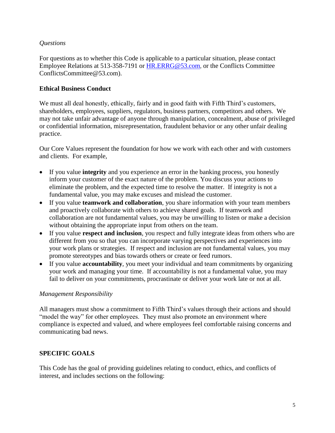# *Questions*

For questions as to whether this Code is applicable to a particular situation, please contact Employee Relations at 513-358-7191 or [HR.ERRG@53.com](mailto:HR.ERRG@53.com), or the Conflicts Committee ConflictsCommittee@53.com).

## **Ethical Business Conduct**

We must all deal honestly, ethically, fairly and in good faith with Fifth Third's customers, shareholders, employees, suppliers, regulators, business partners, competitors and others. We may not take unfair advantage of anyone through manipulation, concealment, abuse of privileged or confidential information, misrepresentation, fraudulent behavior or any other unfair dealing practice.

Our Core Values represent the foundation for how we work with each other and with customers and clients. For example,

- If you value **integrity** and you experience an error in the banking process, you honestly inform your customer of the exact nature of the problem. You discuss your actions to eliminate the problem, and the expected time to resolve the matter. If integrity is not a fundamental value, you may make excuses and mislead the customer.
- If you value **teamwork and collaboration**, you share information with your team members and proactively collaborate with others to achieve shared goals. If teamwork and collaboration are not fundamental values, you may be unwilling to listen or make a decision without obtaining the appropriate input from others on the team.
- If you value **respect and inclusion**, you respect and fully integrate ideas from others who are different from you so that you can incorporate varying perspectives and experiences into your work plans or strategies. If respect and inclusion are not fundamental values, you may promote stereotypes and bias towards others or create or feed rumors.
- If you value **accountability**, you meet your individual and team commitments by organizing your work and managing your time. If accountability is not a fundamental value, you may fail to deliver on your commitments, procrastinate or deliver your work late or not at all.

#### *Management Responsibility*

All managers must show a commitment to Fifth Third's values through their actions and should "model the way" for other employees. They must also promote an environment where compliance is expected and valued, and where employees feel comfortable raising concerns and communicating bad news.

# **SPECIFIC GOALS**

This Code has the goal of providing guidelines relating to conduct, ethics, and conflicts of interest, and includes sections on the following: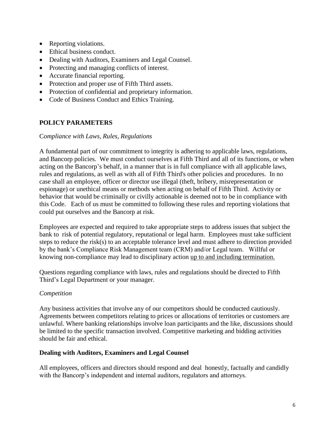- Reporting violations.
- Ethical business conduct.
- Dealing with Auditors, Examiners and Legal Counsel.
- Protecting and managing conflicts of interest.
- Accurate financial reporting.
- Protection and proper use of Fifth Third assets.
- Protection of confidential and proprietary information.
- Code of Business Conduct and Ethics Training.

# **POLICY PARAMETERS**

#### C*ompliance with Laws, Rules, Regulations*

A fundamental part of our commitment to integrity is adhering to applicable laws, regulations, and Bancorp policies. We must conduct ourselves at Fifth Third and all of its functions, or when acting on the Bancorp's behalf, in a manner that is in full compliance with all applicable laws, rules and regulations, as well as with all of Fifth Third's other policies and procedures. In no case shall an employee, officer or director use illegal (theft, bribery, misrepresentation or espionage) or unethical means or methods when acting on behalf of Fifth Third. Activity or behavior that would be criminally or civilly actionable is deemed not to be in compliance with this Code. Each of us must be committed to following these rules and reporting violations that could put ourselves and the Bancorp at risk.

Employees are expected and required to take appropriate steps to address issues that subject the bank to risk of potential regulatory, reputational or legal harm. Employees must take sufficient steps to reduce the risk(s) to an acceptable tolerance level and must adhere to direction provided by the bank's Compliance Risk Management team (CRM) and/or Legal team. Willful or knowing non-compliance may lead to disciplinary action up to and including termination.

Questions regarding compliance with laws, rules and regulations should be directed to Fifth Third's Legal Department or your manager.

# *Competition*

Any business activities that involve any of our competitors should be conducted cautiously. Agreements between competitors relating to prices or allocations of territories or customers are unlawful. Where banking relationships involve loan participants and the like, discussions should be limited to the specific transaction involved. Competitive marketing and bidding activities should be fair and ethical.

# **Dealing with Auditors, Examiners and Legal Counsel**

All employees, officers and directors should respond and deal honestly, factually and candidly with the Bancorp's independent and internal auditors, regulators and attorneys.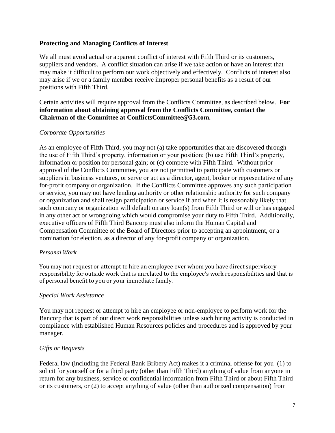### **Protecting and Managing Conflicts of Interest**

We all must avoid actual or apparent conflict of interest with Fifth Third or its customers, suppliers and vendors. A conflict situation can arise if we take action or have an interest that may make it difficult to perform our work objectively and effectively. Conflicts of interest also may arise if we or a family member receive improper personal benefits as a result of our positions with Fifth Third.

Certain activities will require approval from the Conflicts Committee, as described below. **For information about obtaining approval from the Conflicts Committee, contact the Chairman of the Committee at ConflictsCommittee@53.com.**

#### *Corporate Opportunities*

As an employee of Fifth Third, you may not (a) take opportunities that are discovered through the use of Fifth Third's property, information or your position; (b) use Fifth Third's property, information or position for personal gain; or (c) compete with Fifth Third. Without prior approval of the Conflicts Committee, you are not permitted to participate with customers or suppliers in business ventures, or serve or act as a director, agent, broker or representative of any for-profit company or organization. If the Conflicts Committee approves any such participation or service, you may not have lending authority or other relationship authority for such company or organization and shall resign participation or service if and when it is reasonably likely that such company or organization will default on any loan(s) from Fifth Third or will or has engaged in any other act or wrongdoing which would compromise your duty to Fifth Third. Additionally, executive officers of Fifth Third Bancorp must also inform the Human Capital and Compensation Committee of the Board of Directors prior to accepting an appointment, or a nomination for election, as a director of any for-profit company or organization.

#### *Personal Work*

You may not request or attempt to hire an employee over whom you have direct supervisory responsibility for outside work that is unrelated to the employee's work responsibilities and that is of personal benefit to you or your immediate family.

#### *Special Work Assistance*

You may not request or attempt to hire an employee or non-employee to perform work for the Bancorp that is part of our direct work responsibilities unless such hiring activity is conducted in compliance with established Human Resources policies and procedures and is approved by your manager.

# *Gifts or Bequests*

Federal law (including the Federal Bank Bribery Act) makes it a criminal offense for you (1) to solicit for yourself or for a third party (other than Fifth Third) anything of value from anyone in return for any business, service or confidential information from Fifth Third or about Fifth Third or its customers, or (2) to accept anything of value (other than authorized compensation) from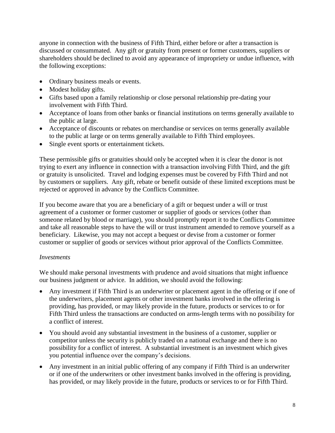anyone in connection with the business of Fifth Third, either before or after a transaction is discussed or consummated. Any gift or gratuity from present or former customers, suppliers or shareholders should be declined to avoid any appearance of impropriety or undue influence, with the following exceptions:

- Ordinary business meals or events.
- Modest holiday gifts.
- Gifts based upon a family relationship or close personal relationship pre-dating your involvement with Fifth Third.
- Acceptance of loans from other banks or financial institutions on terms generally available to the public at large.
- Acceptance of discounts or rebates on merchandise or services on terms generally available to the public at large or on terms generally available to Fifth Third employees.
- Single event sports or entertainment tickets.

These permissible gifts or gratuities should only be accepted when it is clear the donor is not trying to exert any influence in connection with a transaction involving Fifth Third, and the gift or gratuity is unsolicited. Travel and lodging expenses must be covered by Fifth Third and not by customers or suppliers. Any gift, rebate or benefit outside of these limited exceptions must be rejected or approved in advance by the Conflicts Committee.

If you become aware that you are a beneficiary of a gift or bequest under a will or trust agreement of a customer or former customer or supplier of goods or services (other than someone related by blood or marriage), you should promptly report it to the Conflicts Committee and take all reasonable steps to have the will or trust instrument amended to remove yourself as a beneficiary. Likewise, you may not accept a bequest or devise from a customer or former customer or supplier of goods or services without prior approval of the Conflicts Committee.

#### *Investments*

We should make personal investments with prudence and avoid situations that might influence our business judgment or advice. In addition, we should avoid the following:

- Any investment if Fifth Third is an underwriter or placement agent in the offering or if one of the underwriters, placement agents or other investment banks involved in the offering is providing, has provided, or may likely provide in the future, products or services to or for Fifth Third unless the transactions are conducted on arms-length terms with no possibility for a conflict of interest.
- You should avoid any substantial investment in the business of a customer, supplier or competitor unless the security is publicly traded on a national exchange and there is no possibility for a conflict of interest. A substantial investment is an investment which gives you potential influence over the company's decisions.
- Any investment in an initial public offering of any company if Fifth Third is an underwriter or if one of the underwriters or other investment banks involved in the offering is providing, has provided, or may likely provide in the future, products or services to or for Fifth Third.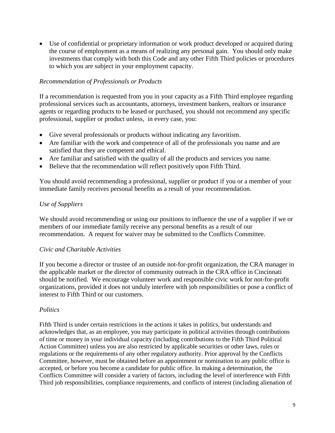Use of confidential or proprietary information or work product developed or acquired during the course of employment as a means of realizing any personal gain. You should only make investments that comply with both this Code and any other Fifth Third policies or procedures to which you are subject in your employment capacity.

# *Recommendation of Professionals or Products*

If a recommendation is requested from you in your capacity as a Fifth Third employee regarding professional services such as accountants, attorneys, investment bankers, realtors or insurance agents or regarding products to be leased or purchased, you should not recommend any specific professional, supplier or product unless, in every case, you:

- Give several professionals or products without indicating any favoritism.
- Are familiar with the work and competence of all of the professionals you name and are satisfied that they are competent and ethical.
- Are familiar and satisfied with the quality of all the products and services you name.
- Believe that the recommendation will reflect positively upon Fifth Third.

You should avoid recommending a professional, supplier or product if you or a member of your immediate family receives personal benefits as a result of your recommendation.

#### *Use of Suppliers*

We should avoid recommending or using our positions to influence the use of a supplier if we or members of our immediate family receive any personal benefits as a result of our recommendation. A request for waiver may be submitted to the Conflicts Committee.

#### *Civic and Charitable Activities*

If you become a director or trustee of an outside not-for-profit organization, the CRA manager in the applicable market or the director of community outreach in the CRA office in Cincinnati should be notified. We encourage volunteer work and responsible civic work for not-for-profit organizations, provided it does not unduly interfere with job responsibilities or pose a conflict of interest to Fifth Third or our customers.

#### *Politics*

Fifth Third is under certain restrictions in the actions it takes in politics, but understands and acknowledges that, as an employee, you may participate in political activities through contributions of time or money in your individual capacity (including contributions to the Fifth Third Political Action Committee) unless you are also restricted by applicable securities or other laws, rules or regulations or the requirements of any other regulatory authority. Prior approval by the Conflicts Committee, however, must be obtained before an appointment or nomination to any public office is accepted, or before you become a candidate for public office. In making a determination, the Conflicts Committee will consider a variety of factors, including the level of interference with Fifth Third job responsibilities, compliance requirements, and conflicts of interest (including alienation of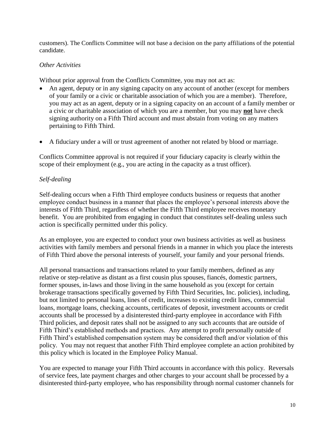customers). The Conflicts Committee will not base a decision on the party affiliations of the potential candidate.

# *Other Activities*

Without prior approval from the Conflicts Committee, you may not act as:

- An agent, deputy or in any signing capacity on any account of another (except for members of your family or a civic or charitable association of which you are a member). Therefore, you may act as an agent, deputy or in a signing capacity on an account of a family member or a civic or charitable association of which you are a member, but you may **not** have check signing authority on a Fifth Third account and must abstain from voting on any matters pertaining to Fifth Third.
- A fiduciary under a will or trust agreement of another not related by blood or marriage.

Conflicts Committee approval is not required if your fiduciary capacity is clearly within the scope of their employment (e.g., you are acting in the capacity as a trust officer).

# *Self-dealing*

Self-dealing occurs when a Fifth Third employee conducts business or requests that another employee conduct business in a manner that places the employee's personal interests above the interests of Fifth Third, regardless of whether the Fifth Third employee receives monetary benefit. You are prohibited from engaging in conduct that constitutes self-dealing unless such action is specifically permitted under this policy.

As an employee, you are expected to conduct your own business activities as well as business activities with family members and personal friends in a manner in which you place the interests of Fifth Third above the personal interests of yourself, your family and your personal friends.

All personal transactions and transactions related to your family members, defined as any relative or step-relative as distant as a first cousin plus spouses, fiancés, domestic partners, former spouses, in-laws and those living in the same household as you (except for certain brokerage transactions specifically governed by Fifth Third Securities, Inc. policies), including, but not limited to personal loans, lines of credit, increases to existing credit lines, commercial loans, mortgage loans, checking accounts, certificates of deposit, investment accounts or credit accounts shall be processed by a disinterested third-party employee in accordance with Fifth Third policies, and deposit rates shall not be assigned to any such accounts that are outside of Fifth Third's established methods and practices. Any attempt to profit personally outside of Fifth Third's established compensation system may be considered theft and/or violation of this policy. You may not request that another Fifth Third employee complete an action prohibited by this policy which is located in the Employee Policy Manual.

You are expected to manage your Fifth Third accounts in accordance with this policy. Reversals of service fees, late payment charges and other charges to your account shall be processed by a disinterested third-party employee, who has responsibility through normal customer channels for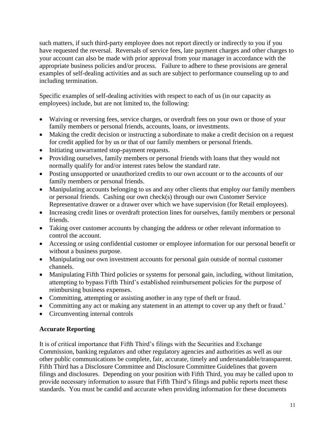such matters, if such third-party employee does not report directly or indirectly to you if you have requested the reversal. Reversals of service fees, late payment charges and other charges to your account can also be made with prior approval from your manager in accordance with the appropriate business policies and/or process. Failure to adhere to these provisions are general examples of self-dealing activities and as such are subject to performance counseling up to and including termination.

Specific examples of self-dealing activities with respect to each of us (in our capacity as employees) include, but are not limited to, the following:

- Waiving or reversing fees, service charges, or overdraft fees on your own or those of your family members or personal friends, accounts, loans, or investments.
- Making the credit decision or instructing a subordinate to make a credit decision on a request for credit applied for by us or that of our family members or personal friends.
- Initiating unwarranted stop-payment requests.
- Providing ourselves, family members or personal friends with loans that they would not normally qualify for and/or interest rates below the standard rate.
- Posting unsupported or unauthorized credits to our own account or to the accounts of our family members or personal friends.
- Manipulating accounts belonging to us and any other clients that employ our family members or personal friends. Cashing our own check(s) through our own Customer Service Representative drawer or a drawer over which we have supervision (for Retail employees).
- Increasing credit lines or overdraft protection lines for ourselves, family members or personal friends.
- Taking over customer accounts by changing the address or other relevant information to control the account.
- Accessing or using confidential customer or employee information for our personal benefit or without a business purpose.
- Manipulating our own investment accounts for personal gain outside of normal customer channels.
- Manipulating Fifth Third policies or systems for personal gain, including, without limitation, attempting to bypass Fifth Third's established reimbursement policies for the purpose of reimbursing business expenses.
- Committing, attempting or assisting another in any type of theft or fraud.
- Committing any act or making any statement in an attempt to cover up any theft or fraud.'
- Circumventing internal controls

# **Accurate Reporting**

It is of critical importance that Fifth Third's filings with the Securities and Exchange Commission, banking regulators and other regulatory agencies and authorities as well as our other public communications be complete, fair, accurate, timely and understandable/transparent. Fifth Third has a Disclosure Committee and Disclosure Committee Guidelines that govern filings and disclosures. Depending on your position with Fifth Third, you may be called upon to provide necessary information to assure that Fifth Third's filings and public reports meet these standards. You must be candid and accurate when providing information for these documents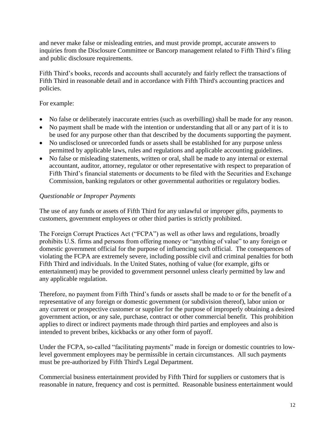and never make false or misleading entries, and must provide prompt, accurate answers to inquiries from the Disclosure Committee or Bancorp management related to Fifth Third's filing and public disclosure requirements.

Fifth Third's books, records and accounts shall accurately and fairly reflect the transactions of Fifth Third in reasonable detail and in accordance with Fifth Third's accounting practices and policies.

# For example:

- No false or deliberately inaccurate entries (such as overbilling) shall be made for any reason.
- No payment shall be made with the intention or understanding that all or any part of it is to be used for any purpose other than that described by the documents supporting the payment.
- No undisclosed or unrecorded funds or assets shall be established for any purpose unless permitted by applicable laws, rules and regulations and applicable accounting guidelines.
- No false or misleading statements, written or oral, shall be made to any internal or external accountant, auditor, attorney, regulator or other representative with respect to preparation of Fifth Third's financial statements or documents to be filed with the Securities and Exchange Commission, banking regulators or other governmental authorities or regulatory bodies.

# *Questionable or Improper Payments*

The use of any funds or assets of Fifth Third for any unlawful or improper gifts, payments to customers, government employees or other third parties is strictly prohibited.

The Foreign Corrupt Practices Act ("FCPA") as well as other laws and regulations, broadly prohibits U.S. firms and persons from offering money or "anything of value" to any foreign or domestic government official for the purpose of influencing such official. The consequences of violating the FCPA are extremely severe, including possible civil and criminal penalties for both Fifth Third and individuals. In the United States, nothing of value (for example, gifts or entertainment) may be provided to government personnel unless clearly permitted by law and any applicable regulation.

Therefore, no payment from Fifth Third's funds or assets shall be made to or for the benefit of a representative of any foreign or domestic government (or subdivision thereof), labor union or any current or prospective customer or supplier for the purpose of improperly obtaining a desired government action, or any sale, purchase, contract or other commercial benefit. This prohibition applies to direct or indirect payments made through third parties and employees and also is intended to prevent bribes, kickbacks or any other form of payoff.

Under the FCPA, so-called "facilitating payments" made in foreign or domestic countries to lowlevel government employees may be permissible in certain circumstances. All such payments must be pre-authorized by Fifth Third's Legal Department.

Commercial business entertainment provided by Fifth Third for suppliers or customers that is reasonable in nature, frequency and cost is permitted. Reasonable business entertainment would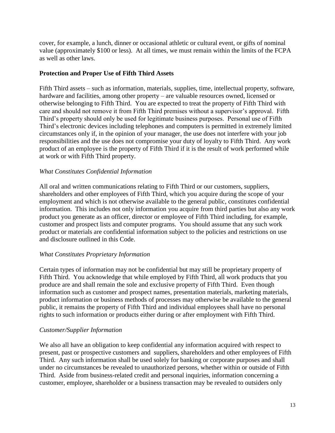cover, for example, a lunch, dinner or occasional athletic or cultural event, or gifts of nominal value (approximately \$100 or less). At all times, we must remain within the limits of the FCPA as well as other laws.

# **Protection and Proper Use of Fifth Third Assets**

Fifth Third assets – such as information, materials, supplies, time, intellectual property, software, hardware and facilities, among other property – are valuable resources owned, licensed or otherwise belonging to Fifth Third. You are expected to treat the property of Fifth Third with care and should not remove it from Fifth Third premises without a supervisor's approval. Fifth Third's property should only be used for legitimate business purposes. Personal use of Fifth Third's electronic devices including telephones and computers is permitted in extremely limited circumstances only if, in the opinion of your manager, the use does not interfere with your job responsibilities and the use does not compromise your duty of loyalty to Fifth Third. Any work product of an employee is the property of Fifth Third if it is the result of work performed while at work or with Fifth Third property.

# *What Constitutes Confidential Information*

All oral and written communications relating to Fifth Third or our customers, suppliers, shareholders and other employees of Fifth Third, which you acquire during the scope of your employment and which is not otherwise available to the general public, constitutes confidential information. This includes not only information you acquire from third parties but also any work product you generate as an officer, director or employee of Fifth Third including, for example, customer and prospect lists and computer programs. You should assume that any such work product or materials are confidential information subject to the policies and restrictions on use and disclosure outlined in this Code.

# *What Constitutes Proprietary Information*

Certain types of information may not be confidential but may still be proprietary property of Fifth Third. You acknowledge that while employed by Fifth Third, all work products that you produce are and shall remain the sole and exclusive property of Fifth Third. Even though information such as customer and prospect names, presentation materials, marketing materials, product information or business methods of processes may otherwise be available to the general public, it remains the property of Fifth Third and individual employees shall have no personal rights to such information or products either during or after employment with Fifth Third.

# *Customer/Supplier Information*

We also all have an obligation to keep confidential any information acquired with respect to present, past or prospective customers and suppliers, shareholders and other employees of Fifth Third. Any such information shall be used solely for banking or corporate purposes and shall under no circumstances be revealed to unauthorized persons, whether within or outside of Fifth Third. Aside from business-related credit and personal inquiries, information concerning a customer, employee, shareholder or a business transaction may be revealed to outsiders only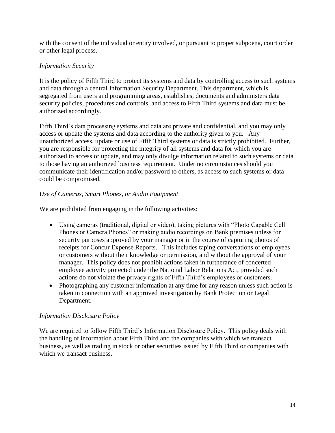with the consent of the individual or entity involved, or pursuant to proper subpoena, court order or other legal process.

# *Information Security*

It is the policy of Fifth Third to protect its systems and data by controlling access to such systems and data through a central Information Security Department. This department, which is segregated from users and programming areas, establishes, documents and administers data security policies, procedures and controls, and access to Fifth Third systems and data must be authorized accordingly.

Fifth Third's data processing systems and data are private and confidential, and you may only access or update the systems and data according to the authority given to you. Any unauthorized access, update or use of Fifth Third systems or data is strictly prohibited. Further, you are responsible for protecting the integrity of all systems and data for which you are authorized to access or update, and may only divulge information related to such systems or data to those having an authorized business requirement. Under no circumstances should you communicate their identification and/or password to others, as access to such systems or data could be compromised.

# *Use of Cameras, Smart Phones, or Audio Equipment*

We are prohibited from engaging in the following activities:

- Using cameras (traditional, digital or video), taking pictures with "Photo Capable Cell Phones or Camera Phones" or making audio recordings on Bank premises unless for security purposes approved by your manager or in the course of capturing photos of receipts for Concur Expense Reports. This includes taping conversations of employees or customers without their knowledge or permission, and without the approval of your manager. This policy does not prohibit actions taken in furtherance of concerted employee activity protected under the National Labor Relations Act, provided such actions do not violate the privacy rights of Fifth Third's employees or customers.
- Photographing any customer information at any time for any reason unless such action is taken in connection with an approved investigation by Bank Protection or Legal Department.

# *Information Disclosure Policy*

We are required to follow Fifth Third's Information Disclosure Policy. This policy deals with the handling of information about Fifth Third and the companies with which we transact business, as well as trading in stock or other securities issued by Fifth Third or companies with which we transact business.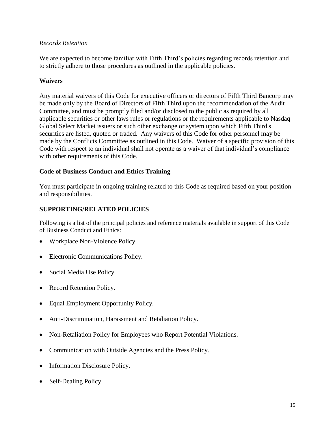### *Records Retention*

We are expected to become familiar with Fifth Third's policies regarding records retention and to strictly adhere to those procedures as outlined in the applicable policies.

# **Waivers**

Any material waivers of this Code for executive officers or directors of Fifth Third Bancorp may be made only by the Board of Directors of Fifth Third upon the recommendation of the Audit Committee, and must be promptly filed and/or disclosed to the public as required by all applicable securities or other laws rules or regulations or the requirements applicable to Nasdaq Global Select Market issuers or such other exchange or system upon which Fifth Third's securities are listed, quoted or traded. Any waivers of this Code for other personnel may be made by the Conflicts Committee as outlined in this Code. Waiver of a specific provision of this Code with respect to an individual shall not operate as a waiver of that individual's compliance with other requirements of this Code.

# **Code of Business Conduct and Ethics Training**

You must participate in ongoing training related to this Code as required based on your position and responsibilities.

# **SUPPORTING/RELATED POLICIES**

Following is a list of the principal policies and reference materials available in support of this Code of Business Conduct and Ethics:

- Workplace Non-Violence Policy.
- Electronic Communications Policy.
- Social Media Use Policy.
- Record Retention Policy.
- Equal Employment Opportunity Policy.
- Anti-Discrimination, Harassment and Retaliation Policy.
- Non-Retaliation Policy for Employees who Report Potential Violations.
- Communication with Outside Agencies and the Press Policy.
- Information Disclosure Policy.
- Self-Dealing Policy.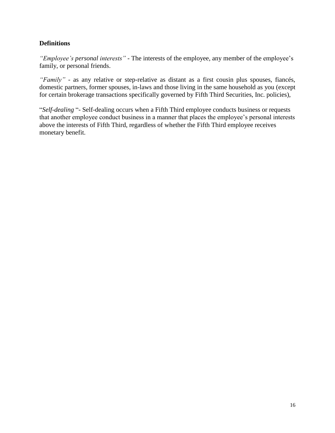# **Definitions**

*"Employee's personal interests"* - The interests of the employee, any member of the employee's family, or personal friends.

*"Family"* - as any relative or step-relative as distant as a first cousin plus spouses, fiancés, domestic partners, former spouses, in-laws and those living in the same household as you (except for certain brokerage transactions specifically governed by Fifth Third Securities, Inc. policies),

"*Self-dealing* "- Self-dealing occurs when a Fifth Third employee conducts business or requests that another employee conduct business in a manner that places the employee's personal interests above the interests of Fifth Third, regardless of whether the Fifth Third employee receives monetary benefit.